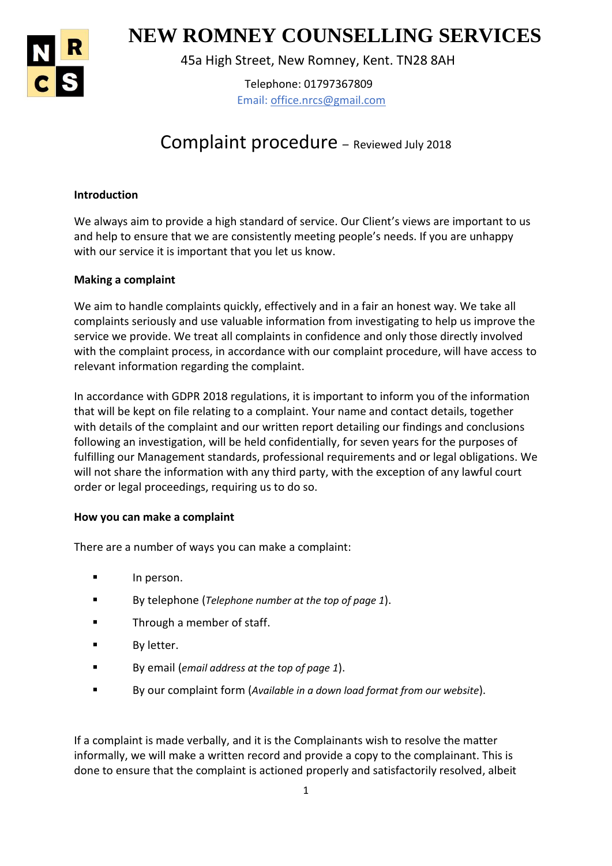

# 1 **NEW ROMNEY COUNSELLING SERVICES**

45a High Street, New Romney, Kent. TN28 8AH

Telephone: 01797367809 Email: office.nrcs@gmail.com

# Complaint procedure – Reviewed July 2018

# **Introduction**

We always aim to provide a high standard of service. Our Client's views are important to us and help to ensure that we are consistently meeting people's needs. If you are unhappy with our service it is important that you let us know.

## **Making a complaint**

We aim to handle complaints quickly, effectively and in a fair an honest way. We take all complaints seriously and use valuable information from investigating to help us improve the service we provide. We treat all complaints in confidence and only those directly involved with the complaint process, in accordance with our complaint procedure, will have access to relevant information regarding the complaint.

In accordance with GDPR 2018 regulations, it is important to inform you of the information that will be kept on file relating to a complaint. Your name and contact details, together with details of the complaint and our written report detailing our findings and conclusions following an investigation, will be held confidentially, for seven years for the purposes of fulfilling our Management standards, professional requirements and or legal obligations. We will not share the information with any third party, with the exception of any lawful court order or legal proceedings, requiring us to do so.

### **How you can make a complaint**

There are a number of ways you can make a complaint:

- **In person.**
- By telephone (*Telephone number at the top of page 1*).
- **Through a member of staff.**
- **By letter.**
- By email (*email address at the top of page 1*).
- By our complaint form (*Available in a down load format from our website*).

If a complaint is made verbally, and it is the Complainants wish to resolve the matter informally, we will make a written record and provide a copy to the complainant. This is done to ensure that the complaint is actioned properly and satisfactorily resolved, albeit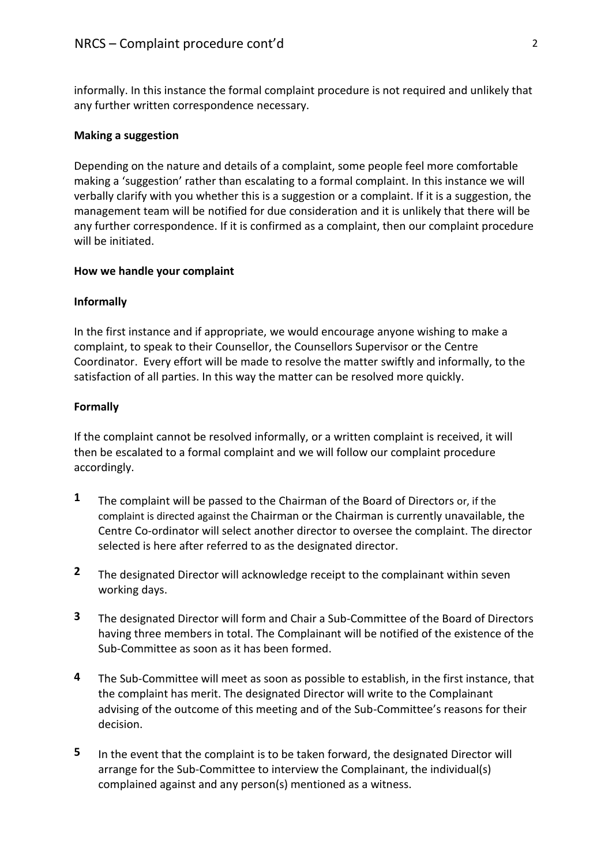informally. In this instance the formal complaint procedure is not required and unlikely that any further written correspondence necessary.

#### **Making a suggestion**

Depending on the nature and details of a complaint, some people feel more comfortable making a 'suggestion' rather than escalating to a formal complaint. In this instance we will verbally clarify with you whether this is a suggestion or a complaint. If it is a suggestion, the management team will be notified for due consideration and it is unlikely that there will be any further correspondence. If it is confirmed as a complaint, then our complaint procedure will be initiated.

#### **How we handle your complaint**

#### **Informally**

In the first instance and if appropriate, we would encourage anyone wishing to make a complaint, to speak to their Counsellor, the Counsellors Supervisor or the Centre Coordinator. Every effort will be made to resolve the matter swiftly and informally, to the satisfaction of all parties. In this way the matter can be resolved more quickly.

#### **Formally**

If the complaint cannot be resolved informally, or a written complaint is received, it will then be escalated to a formal complaint and we will follow our complaint procedure accordingly.

- **1** The complaint will be passed to the Chairman of the Board of Directors or, if the complaint is directed against the Chairman or the Chairman is currently unavailable, the Centre Co-ordinator will select another director to oversee the complaint. The director selected is here after referred to as the designated director.
- **2** The designated Director will acknowledge receipt to the complainant within seven working days.
- **3** The designated Director will form and Chair a Sub-Committee of the Board of Directors having three members in total. The Complainant will be notified of the existence of the Sub-Committee as soon as it has been formed.
- **4** The Sub-Committee will meet as soon as possible to establish, in the first instance, that the complaint has merit. The designated Director will write to the Complainant advising of the outcome of this meeting and of the Sub-Committee's reasons for their decision.
- 2 complained against and any person(s) mentioned as a witness. **5** In the event that the complaint is to be taken forward, the designated Director will arrange for the Sub-Committee to interview the Complainant, the individual(s)